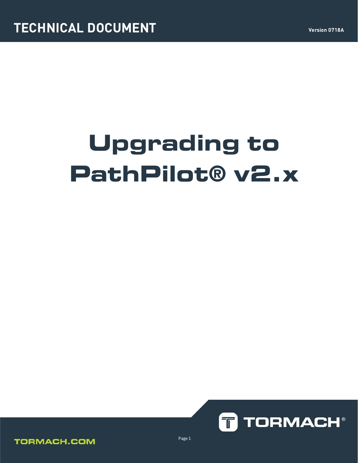# **Upgrading to PathPilot® v2.x**





Page 1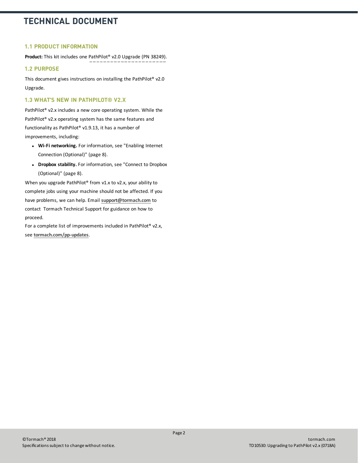## **1.1 PRODUCT INFORMATION**

**Product:** This kit includes one [PathPilot® v2.0 Upgrade \(PN 38249\).](https://www.tormach.com/store/index.php?app=ecom&ns=prodshow&ref=38249)

## **1.2 PURPOSE**

This document gives instructions on installing the PathPilot® v2.0 Upgrade.

## **1.3 WHAT'S NEW IN PATHPILOT® V2.X**

PathPilot® v2.x includes a new core operating system. While the PathPilot® v2.x operating system has the same features and functionality as PathPilot® v1.9.13, it has a number of improvements, including:

- **Wi-Fi networking.** For information, see ["Enabling Internet](#page-7-0) [Connection \(Optional\)" \(page 8\)](#page-7-0).
- **.** Dropbox stability. For information, see ["Connect to Dropbox](#page-7-1) [\(Optional\)" \(page 8\).](#page-7-1)

When you upgrade PathPilot® from v1.x to v2.x, your ability to complete jobs using your machine should not be affected. If you have problems, we can help. Email **[support@tormach.com](mailto:support@tormach.com)** to contact Tormach Technical Support for guidance on how to proceed.

For a complete list of improvements included in PathPilot® v2.x, see **[tormach.com/pp-updates](https://www.tormach.com/updates)**.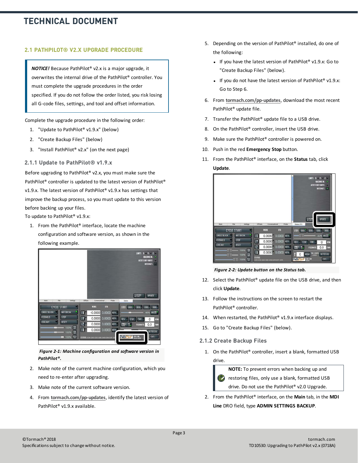## **2.1 PATHPILOT® V2.X UPGRADE PROCEDURE**

*NOTICE!* Because PathPilot® v2.x is a major upgrade, it overwrites the internal drive of the PathPilot® controller. You must complete the upgrade procedures in the order specified. If you do not follow the order listed, you risk losing all G-code files, settings, and tool and offset information.

Complete the upgrade procedure in the following order:

- 1. ["Update to PathPilot® v1.9.x" \(below\)](#page-2-0)
- 2. ["Create Backup Files" \(below\)](#page-2-1)
- <span id="page-2-0"></span>3. ["Install PathPilot® v2.x" \(on the next page\)](#page-3-0)
- **2.1.1 Update to PathPilot® v1.9.x**

Before upgrading to PathPilot® v2.x, you must make sure the PathPilot® controller is updated to the latest version of PathPilot® v1.9.x. The latest version of PathPilot® v1.9.x has settings that improve the backup process, so you must update to this version before backing up your files.

To update to PathPilot® v1.9.x:

1. From the PathPilot® interface, locate the machine configuration and software version, as shown in the following example.



*Figure 2-1: Machine configuration and software version in PathPilot®.*

- 2. Make note of the current machine configuration, which you need to re-enter after upgrading.
- 3. Make note of the current software version.
- 4. From **[tormach.com/pp-updates](https://www.tormach.com/updates)**, identify the latest version of PathPilot® v1.9.x available.
- 5. Depending on the version of PathPilot® installed, do one of the following:
	- If you have the latest version of PathPilot® v1.9.x: Go to ["Create Backup Files" \(below\)](#page-2-1).
	- If you do not have the latest version of PathPilot® v1.9.x: Go to Step 6.
- 6. From **[tormach.com/pp-updates](https://www.tormach.com/updates)**, download the most recent PathPilot® update file.
- 7. Transfer the PathPilot® update file to a USB drive.
- 8. On the PathPilot<sup>®</sup> controller, insert the USB drive.
- 9. Make sure the PathPilot® controller is powered on.
- 10. Push in the red **Emergency Stop** button.
- 11. From the PathPilot® interface, on the **Status** tab, click **Update**.



*Figure 2-2: Update button on the Status tab.*

- 12. Select the PathPilot® update file on the USB drive, and then click **Update**.
- 13. Follow the instructions on the screen to restart the PathPilot® controller.
- 14. When restarted, the PathPilot® v1.9.x interface displays.
- <span id="page-2-1"></span>15. Goto ["Create Backup Files" \(below\)](#page-2-1).

## **2.1.2 Create Backup Files**

1. On the PathPilot® controller, insert a blank, formatted USB drive.

**NOTE:** To prevent errors when backing up and restoring files, only use a blank, formatted USB drive. Do not use the PathPilot® v2.0 Upgrade.

2. From the PathPilot® interface, on the **Main** tab, in the **MDI Line** DRO field, type **ADMIN SETTINGS BACKUP**.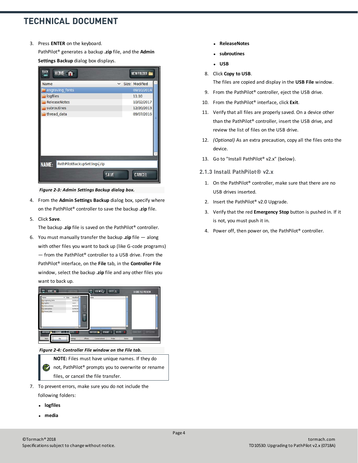3. Press **ENTER** on the keyboard.

PathPilot® generates a backup **.zip** file, and the **Admin Settings Backup** dialog box displays.



*Figure 2-3: Admin Settings Backup dialog box.*

- 4. From the **Admin Settings Backup** dialog box, specify where on the PathPilot® controller to save the backup **.zip** file.
- 5. Click **Save**.

The backup **.zip** file is saved on the PathPilot® controller.

6. You must manually transfer the backup **.zip** file — along with other files you want to back up (like G-code programs) — from the PathPilot® controller to a USB drive. From the PathPilot® interface, on the **File** tab, in the **Controller File** window, select the backup **.zip** file and any other files you want to back up.



*Figure 2-4: Controller File window on the File tab.*

**NOTE:** Files must have unique names. If they do (2) not, PathPilot® prompts you to overwrite or rename files, or cancel the file transfer.

- 7. To prevent errors, make sure you do not include the following folders:
	- <sup>l</sup> **logfiles**
	- <sup>l</sup> **media**
- <sup>l</sup> **ReleaseNotes**
- <sup>l</sup> **subroutines**
- <sup>l</sup> **USB**
- 8. Click **Copy to USB**.

The files are copied and display in the **USB File** window.

- 9. From the PathPilot® controller, eject the USB drive.
- 10. From the PathPilot® interface, click **Exit**.
- 11. Verify that all files are properly saved. On a device other than the PathPilot® controller, insert the USB drive, and review the list of files on the USB drive.
- 12. *(Optional)* As an extra precaution, copy all the files onto the device.
- <span id="page-3-0"></span>13. Goto ["Install PathPilot® v2.x" \(below\).](#page-3-0)

#### **2.1.3 Install PathPilot® v2.x**

- 1. On the PathPilot® controller, make sure that there are no USB drives inserted.
- 2. Insert the PathPilot® v2.0 Upgrade.
- 3. Verify that the red **Emergency Stop** button is pushed in. If it is not, you must push it in.
- 4. Power off, then power on, the PathPilot® controller.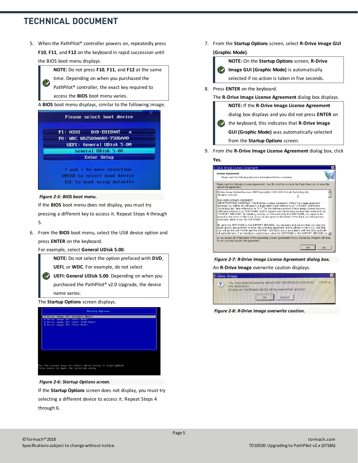信

5. When the PathPilot® controller powers on, repeatedly press **F10**, **F11**, and **F12** on the keyboard in rapid succession until the BIOS boot menu displays.



time. Depending on when you purchased the

PathPilot® controller, the exact key required to access the **BIOS** boot menu varies.

A **BIOS** boot menu displays, similar to the following image.

| Please select boot device                                       |
|-----------------------------------------------------------------|
| P1: ASUS DUD-E818AAT a                                          |
| PO: UDC UD2500AAKX-75U6AA0                                      |
| UEFI: General UDisk 5.00                                        |
| General UDisk 5.00                                              |
| <b>Enter Setup</b>                                              |
| 1 and 4 to move selection<br><b>ENTER</b> to select boot device |

#### *Figure 2-5: BIOS boot menu.*

If the **BIOS** boot menu does not display, you must try pressing a different key to access it. Repeat Steps 4 through 5.

6. From the **BIOS** boot menu, select the USB device option and press **ENTER** on the keyboard.

#### For example, select **General UDisk 5.00**.



**UEFI**, or **WDC**. For example, do not select

**UEFI: General UDisk 5.00**. Depending on when you purchased the PathPilot® v2.0 Upgrade, the device name varies.

The **Startup Options** screen displays.



#### *Figure 2-6: Startup Options screen.*

If the **Startup Options** screen does not display, you must try selecting a different device to access it. Repeat Steps 4 through 6.

7. From the **Startup Options** screen, select **R-Drive Image GUI (Graphic Mode)**.



8. Press **ENTER** on the keyboard.

#### The **R-Drive Image License Agreement** dialog box displays.

**NOTE:** If the **R-Drive Image License Agreement**

dialog box displays and you did not press **ENTER** on

the keyboard, this indicates that **R-Drive Image**

**GUI (Graphic Mode)** was automatically selected

from the **Startup Options** screen.

9. From the **R-Drive Image License Agreement** dialog box, click **Yes**.

## **License Agreement** sise Agreement<br>Please read the following important information before continuing Please read the following License Agreement. Use the scroll bar or press the Page Down key to view the<br>rest of the agreement. R-Drive Image System Recovery OEM Copyright(c) 2001-2016 R-tools Technology Inc.<br>All rights reserved.  $\hat{=}$ T END-USER LICENSE AGREEMENT<br>IMPORTANT-READ CAREFULLY: This End-User License Agreement ("EULA") is a legal agreement<br>between you (either an individual or a single entity) later referred to as "LICENSEE" and R-tools<br>Technolog By using the SOFTWARE or the SUPPORT SERVICES, you represent and warrant that  $\frac{187}{100}$  using the such twater or the sub-r-Oct Sectionsby agreement and to adhere to this EULA, and that<br> $\frac{1}{100}$  will use the SOFTWARE and the SUPPORT SERVICES only in accordance with this EULA and that<br> $\frac{1}{10$ Do you accept all of the terms of the preceding License Agreement? If you choose No, Program will close.<br>To run you must accept this agreement. Yes No

#### *Figure 2-7: R-Drive Image License Agreement dialog box.*

An **R-Drive Image** overwrite caution displays.



*Figure 2-8: R-Drive Image overwrite caution.*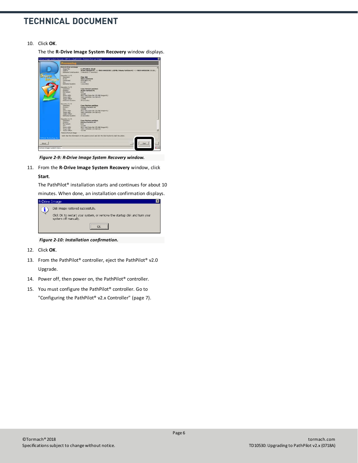10. Click **OK**.

The the **R-Drive Image System Recovery** window displays.



*Figure 2-9: R-Drive Image System Recovery window.*

11. From the **R-Drive Image System Recovery** window, click **Start**.

The PathPilot® installation starts and continues for about 10 minutes. When done, an installation confirmation displays.

| R-Drive Image |                                                                                                   |  |
|---------------|---------------------------------------------------------------------------------------------------|--|
|               | Disk image restored successfully.                                                                 |  |
|               | Click OK to restart your system, or remove the startup disk and turn your<br>system off manually. |  |
|               |                                                                                                   |  |

*Figure 2-10: Installation confirmation.*

- 12. Click **OK**.
- 13. From the PathPilot® controller, eject the PathPilot® v2.0 Upgrade.
- 14. Power off, then power on, the PathPilot® controller.
- 15. You must configure the PathPilot® controller. Go to ["Configuring the PathPilot® v2.x Controller" \(page 7\)](#page-6-0).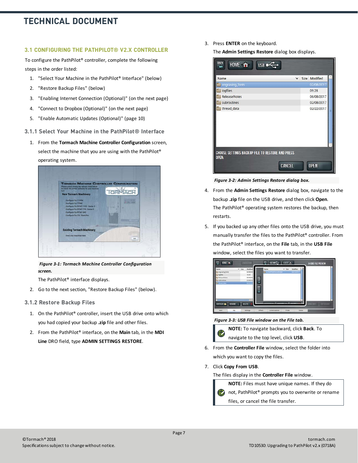## <span id="page-6-0"></span>**3.1 CONFIGURING THE PATHPILOT® V2.X CONTROLLER**

To configure the PathPilot® controller, complete the following steps in the order listed:

- 1. ["Select Your Machine in the PathPilot® Interface" \(below\)](#page-6-1)
- 2. ["Restore Backup Files" \(below\)](#page-6-2)
- 3. ["Enabling Internet Connection \(Optional\)" \(on the next page\)](#page-7-0)
- 4. ["Connect to Dropbox \(Optional\)" \(on the next page\)](#page-7-1)
- <span id="page-6-1"></span>5. ["Enable Automatic Updates \(Optional\)" \(page 10\)](#page-9-0)
- **3.1.1 Select Your Machine in the PathPilot® Interface**
	- 1. From the **Tormach Machine Controller Configuration** screen, select the machine that you are using with the PathPilot® operating system.



*Figure 3-1: Tormach Machine Controller Configuration screen.*

The PathPilot® interface displays.

- <span id="page-6-2"></span>2. Go to the next section, ["Restore Backup Files" \(below\).](#page-6-2)
- **3.1.2 Restore Backup Files**
	- 1. On the PathPilot® controller, insert the USB drive onto which you had copied your backup **.zip** file and other files.
	- 2. From the PathPilot® interface, on the **Main** tab, in the **MDI Line** DRO field, type **ADMIN SETTINGS RESTORE**.

3. Press **ENTER** on the keyboard.

The **Admin Settings Restore** dialog box displays.

| Name                                                    | $\checkmark$ | Size Modified |
|---------------------------------------------------------|--------------|---------------|
| engraving_fonts                                         |              | 02/08/2017    |
| logfiles                                                |              | 09:28         |
| <b>ReleaseNotes</b>                                     |              | 06/08/2017    |
| subroutines                                             |              | 02/08/2017    |
|                                                         |              |               |
| <b>CHOOSE SETTINGS BACKUP FILE TO RESTORE AND PRESS</b> |              |               |

*Figure 3-2: Admin Settings Restore dialog box.*

- 4. From the **Admin Settings Restore** dialog box, navigate to the backup **.zip** file on the USB drive, and then click **Open**. The PathPilot® operating system restores the backup, then restarts.
- 5. If you backed up any other files onto the USB drive, you must manually transfer the files to the PathPilot® controller. From the PathPilot® interface, on the **File** tab, in the **USB File** window, select the files you want to transfer.



*Figure 3-3: USB File window on the File tab.*



**NOTE:** To navigate backward, click **Back**. To navigate to the top level, click **USB**.

- 6. From the **Controller File** window, select the folder into which you want to copy the files.
- 7. Click **Copy From USB**.

The files display in the **Controller File** window.

**NOTE:** Files must have unique names. If they do not, PathPilot® prompts you to overwrite or rename EZ files, or cancel the file transfer.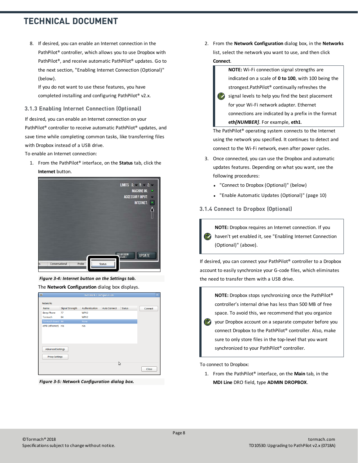8. If desired, you can enable an Internet connection in the PathPilot® controller, which allows you to use Dropbox with PathPilot®, and receive automatic PathPilot® updates. Go to the next section, ["Enabling Internet Connection \(Optional\)"](#page-7-0) [\(below\).](#page-7-0)

If you do not want to use these features, you have completed installing and configuring PathPilot® v2.x.

#### <span id="page-7-0"></span>**3.1.3 Enabling Internet Connection (Optional)**

If desired, you can enable an Internet connection on your PathPilot® controller to receive automatic PathPilot® updates, and save time while completing common tasks, like transferring files with Dropbox instead of a USB drive.

To enable an Internet connection:

1. From the PathPilot® interface, on the **Status** tab, click the **Internet** button.



*Figure 3-4: Internet button on the Settings tab.*

The **Network Configuration** dialog box displays.

| <b>BU</b> |                          |                        | <b>Network Configuration</b> |                     |               | ∣×∣     |
|-----------|--------------------------|------------------------|------------------------------|---------------------|---------------|---------|
|           | <b>Networks</b>          |                        |                              |                     |               |         |
|           | Name                     | <b>Signal Strength</b> | Authentication               | <b>Auto Connect</b> | <b>Status</b> | Connect |
|           | <b>Beep Phone</b>        | 77                     | WPA2                         |                     |               |         |
|           | Tormach                  | 84                     | WPA <sub>2</sub>             |                     |               |         |
|           | Tormach-Guest 84         |                        | None                         |                     |               |         |
|           | eth0 (ethernet) n/a      |                        | n/a                          |                     |               |         |
|           |                          |                        |                              |                     |               |         |
|           |                          |                        |                              |                     |               |         |
|           |                          |                        |                              |                     |               |         |
|           |                          |                        |                              |                     |               |         |
|           | <b>Advanced Settings</b> |                        |                              |                     |               |         |
|           |                          |                        |                              |                     |               |         |
|           | <b>Proxy Settings</b>    |                        |                              |                     |               |         |
|           |                          |                        |                              |                     |               |         |
|           |                          |                        |                              |                     | じ             |         |
|           |                          |                        |                              |                     |               | Close   |
|           |                          |                        |                              |                     |               |         |

*Figure 3-5: Network Configuration dialog box.*

2. From the **Network Configuration** dialog box, in the **Networks** list, select the network you want to use, and then click **Connect**.



using the network you specified. It continues to detect and connect to the Wi-Fi network, even after power cycles.

- 3. Once connected, you can use the Dropbox and automatic updates features. Depending on what you want, see the following procedures:
	- ["Connect to Dropbox \(Optional\)" \(below\)](#page-7-1)
	- <sup>l</sup> ["Enable Automatic Updates \(Optional\)" \(page 10\)](#page-9-0)

## <span id="page-7-1"></span>**3.1.4 Connect to Dropbox (Optional)**

**NOTE:** Dropbox requires an Internet connection. If you **E** haven't yet enabled it, see ["Enabling Internet Connection](#page-7-0) [\(Optional\)" \(above\).](#page-7-0)

If desired, you can connect your PathPilot® controller to a Dropbox account to easily synchronize your G-code files, which eliminates the need to transfer them with a USB drive.



To connect to Dropbox:

1. From the PathPilot® interface, on the **Main** tab, in the **MDI Line** DRO field, type **ADMIN DROPBOX**.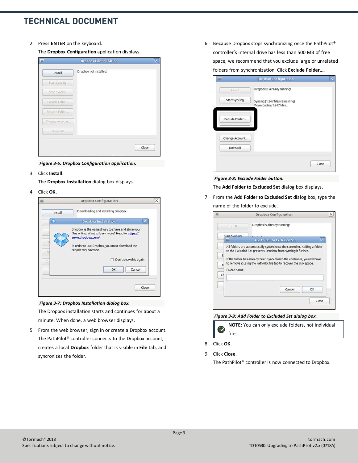2. Press **ENTER** on the keyboard.

The **Dropbox Configuration** application displays.

| Install        | Dropbox not installed. |  |
|----------------|------------------------|--|
| Start Syncing  |                        |  |
| Stop Syncing   |                        |  |
| Exclude Folder |                        |  |
| Restore Folder |                        |  |
| Change Account |                        |  |
| Uninstall      |                        |  |
|                |                        |  |

*Figure 3-6: Dropbox Configuration application.*

3. Click **Install**.

The **Dropbox Installation** dialog box displays.

4. Click **OK**.



*Figure 3-7: Dropbox Installation dialog box.*

The Dropbox installation starts and continues for about a minute. When done, a web browser displays.

5. From the web browser, sign in or create a Dropbox account. The PathPilot® controller connects to the Dropbox account, creates a local **Dropbox** folder that is visible in **File** tab, and syncronizes the folder.

6. Because Dropbox stops synchronizing once the PathPilot® controller's internal drive has less than 500 MB of free space, we recommend that you exclude large or unrelated folders from synchronization. Click **Exclude Folder...**.

|                      | <b>Dropbox Configuration</b>                               |       |
|----------------------|------------------------------------------------------------|-------|
| Install              | Dropbox is already running!                                |       |
| <b>Start Syncing</b> | Syncing (1,347 files remaining)<br>Downloading 1,347 files |       |
| Exclude Folder       |                                                            |       |
| Change Account       |                                                            |       |
| Uninstall            |                                                            |       |
|                      |                                                            | Close |

*Figure 3-8: Exclude Folder button.*

The **Add Folder to Excluded Set** dialog box displays.

7. From the **Add Folder to Excluded Set** dialog box, type the name of the folder to exclude.

| Dropbox is already running!<br>Install<br><b>Start Syncing</b><br><b>Add Folder to Excluded Set</b><br>All folders are automatically synced onto the controller. Adding a folder<br>to the Excluded Set prevents Dropbox from syncing it further.<br>E<br>If the folder has already been synced onto the controller, you will have<br>to remove it using the PathPilot file tab to recover the disk space.<br>R<br>Folder name:<br>CH |  | <b>Dropbox Configuration</b> |    |
|---------------------------------------------------------------------------------------------------------------------------------------------------------------------------------------------------------------------------------------------------------------------------------------------------------------------------------------------------------------------------------------------------------------------------------------|--|------------------------------|----|
|                                                                                                                                                                                                                                                                                                                                                                                                                                       |  |                              |    |
|                                                                                                                                                                                                                                                                                                                                                                                                                                       |  |                              |    |
|                                                                                                                                                                                                                                                                                                                                                                                                                                       |  |                              |    |
|                                                                                                                                                                                                                                                                                                                                                                                                                                       |  | Cancel                       | OK |

*Figure 3-9: Add Folder to Excluded Set dialog box.*

- **NOTE:** You can only exclude folders, not individual files.
- 8. Click **OK**.
- 9. Click **Close**.

The PathPilot® controller is now connected to Dropbox.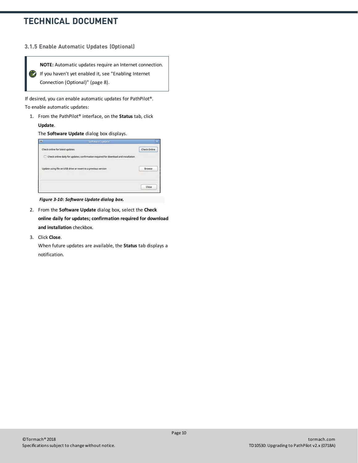#### <span id="page-9-0"></span>**3.1.5 Enable Automatic Updates (Optional)**



If desired, you can enable automatic updates for PathPilot®. To enable automatic updates:

1. From the PathPilot® interface, on the **Status** tab, click **Update**.

The **Software Update** dialog box displays.



*Figure 3-10: Software Update dialog box.*

- 2. From the **Software Update** dialog box, select the **Check online daily for updates; confirmation required for download and installation** checkbox.
- 3. Click **Close**.

When future updates are available, the **Status** tab displays a notification.